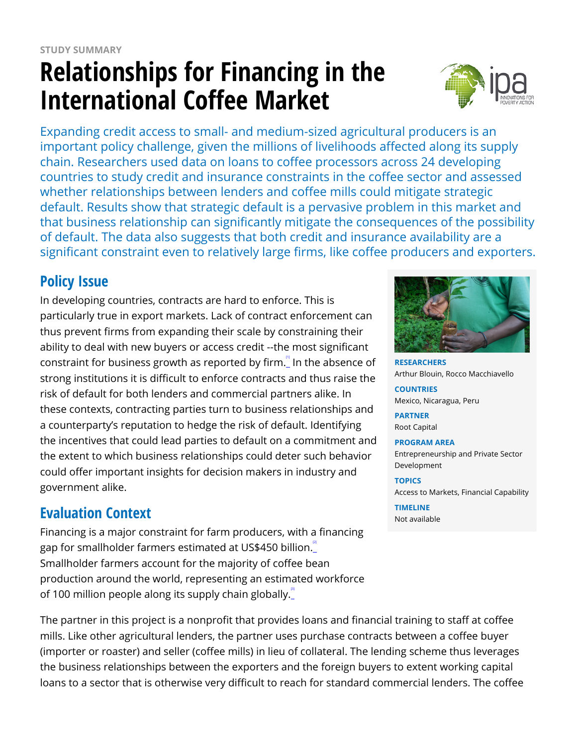# **Relationships for Financing in the International Coffee Market**



Expanding credit access to small- and medium-sized agricultural producers is an important policy challenge, given the millions of livelihoods affected along its supply chain. Researchers used data on loans to coffee processors across 24 developing countries to study credit and insurance constraints in the coffee sector and assessed whether relationships between lenders and coffee mills could mitigate strategic default. Results show that strategic default is a pervasive problem in this market and that business relationship can significantly mitigate the consequences of the possibility of default. The data also suggests that both credit and insurance availability are a significant constraint even to relatively large firms, like coffee producers and exporters.

## **Policy Issue**

In developing countries, contracts are hard to enforce. This is particularly true in export markets. Lack of contract enforcement can thus prevent firms from expanding their scale by constraining their ability to deal with new buyers or access credit --the most significant constraint for business growth as reported by firm.<sup>"</sup> In the absence of strong institutions it is difficult to enforce contracts and thus raise the risk of default for both lenders and commercial partners alike. In these contexts, contracting parties turn to business relationships and a counterparty's reputation to hedge the risk of default. Identifying the incentives that could lead parties to default on a commitment and the extent to which business relationships could deter such behavior could offer important insights for decision makers in industry and government alike.

# **Evaluation Context**

Financing is a major constraint for farm producers, with a financing gap for smallholder farmers estimated at US\$450 billion. Smallholder farmers account for the majority of coffee bean production around the world, representing an estimated workforce of 100 million people along its supply chain globally.

The partner in this project is a nonprofit that provides loans and financial training to staff at coffee mills. Like other agricultural lenders, the partner uses purchase contracts between a coffee buyer (importer or roaster) and seller (coffee mills) in lieu of collateral. The lending scheme thus leverages the business relationships between the exporters and the foreign buyers to extent working capital loans to a sector that is otherwise very difficult to reach for standard commercial lenders. The coffee



**RESEARCHERS** Arthur Blouin, Rocco Macchiavello

**COUNTRIES** Mexico, Nicaragua, Peru

**PARTNER** Root Capital

#### **PROGRAM AREA**

Entrepreneurship and Private Sector Development

**TOPICS** Access to Markets, Financial Capability

#### **TIMELINE**

Not available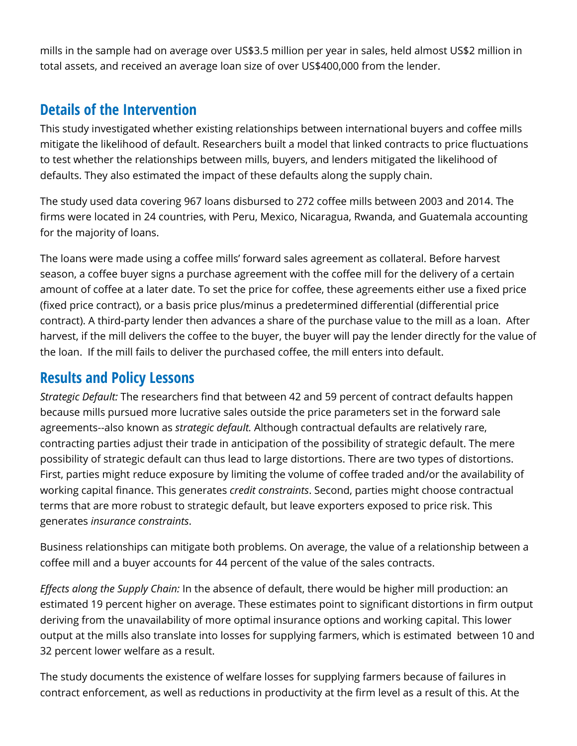mills in the sample had on average over US\$3.5 million per year in sales, held almost US\$2 million in total assets, and received an average loan size of over US\$400,000 from the lender.

## **Details of the Intervention**

This study investigated whether existing relationships between international buyers and coffee mills mitigate the likelihood of default. Researchers built a model that linked contracts to price fluctuations to test whether the relationships between mills, buyers, and lenders mitigated the likelihood of defaults. They also estimated the impact of these defaults along the supply chain.

The study used data covering 967 loans disbursed to 272 coffee mills between 2003 and 2014. The firms were located in 24 countries, with Peru, Mexico, Nicaragua, Rwanda, and Guatemala accounting for the majority of loans.

The loans were made using a coffee mills' forward sales agreement as collateral. Before harvest season, a coffee buyer signs a purchase agreement with the coffee mill for the delivery of a certain amount of coffee at a later date. To set the price for coffee, these agreements either use a fixed price (fixed price contract), or a basis price plus/minus a predetermined differential (differential price contract). A third-party lender then advances a share of the purchase value to the mill as a loan. After harvest, if the mill delivers the coffee to the buyer, the buyer will pay the lender directly for the value of the loan. If the mill fails to deliver the purchased coffee, the mill enters into default.

## **Results and Policy Lessons**

*Strategic Default:* The researchers find that between 42 and 59 percent of contract defaults happen because mills pursued more lucrative sales outside the price parameters set in the forward sale agreements--also known as *strategic default.* Although contractual defaults are relatively rare, contracting parties adjust their trade in anticipation of the possibility of strategic default. The mere possibility of strategic default can thus lead to large distortions. There are two types of distortions. First, parties might reduce exposure by limiting the volume of coffee traded and/or the availability of working capital finance. This generates *credit constraints*. Second, parties might choose contractual terms that are more robust to strategic default, but leave exporters exposed to price risk. This generates *insurance constraints*.

Business relationships can mitigate both problems. On average, the value of a relationship between a coffee mill and a buyer accounts for 44 percent of the value of the sales contracts.

*Effects along the Supply Chain:* In the absence of default, there would be higher mill production: an estimated 19 percent higher on average. These estimates point to significant distortions in firm output deriving from the unavailability of more optimal insurance options and working capital. This lower output at the mills also translate into losses for supplying farmers, which is estimated between 10 and 32 percent lower welfare as a result.

The study documents the existence of welfare losses for supplying farmers because of failures in contract enforcement, as well as reductions in productivity at the firm level as a result of this. At the